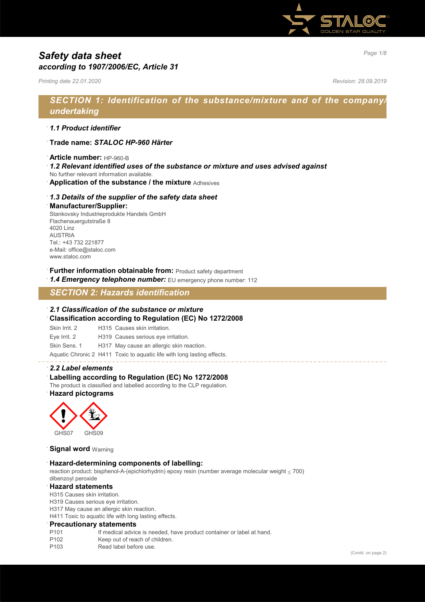

# *Page 1/8 Safety data sheet according to 1907/2006/EC, Article 31*

*Printing date 22.01.2020 Revision: 28.09.2019*

# *SECTION 1: Identification of the substance/mixture and of the company/ undertaking*

### · *1.1 Product identifier*

- · **Trade name:** *STALOC HP-960 Härter*
- · **Article number:** HP-960-B
- · *1.2 Relevant identified uses of the substance or mixture and uses advised against*
- No further relevant information available.
- · **Application of the substance / the mixture** Adhesives

### · *1.3 Details of the supplier of the safety data sheet*

#### · **Manufacturer/Supplier:**

Stankovsky Industrieprodukte Handels GmbH Flachenauergutstraße 8 4020 Linz AUSTRIA Tel.: +43 732 221877 e-Mail: office@staloc.com www.staloc.com

- **Further information obtainable from:** Product safety department
- 1.4 **Emergency telephone number:** EU emergency phone number: 112

# *SECTION 2: Hazards identification*

### · *2.1 Classification of the substance or mixture*

- · **Classification according to Regulation (EC) No 1272/2008**
- Skin Irrit. 2 H315 Causes skin irritation.
- Eye Irrit. 2 H319 Causes serious eye irritation.
- Skin Sens. 1 H317 May cause an allergic skin reaction.

Aquatic Chronic 2 H411 Toxic to aquatic life with long lasting effects.

#### · *2.2 Label elements*

### Labelling according to Regulation (EC) No 1272/2008

The product is classified and labelled according to the CLP regulation. · **Hazard pictograms**



**Signal word Warning** 

#### · **Hazard-determining components of labelling:**

reaction product: bisphenol-A-(epichlorhydrin) epoxy resin (number average molecular weight ≤ 700) dibenzoyl peroxide

#### · **Hazard statements**

H315 Causes skin irritation.

H319 Causes serious eye irritation.

H317 May cause an allergic skin reaction.

H411 Toxic to aquatic life with long lasting effects.

#### · **Precautionary statements**

- P101 If medical advice is needed, have product container or label at hand.
- P102 Keep out of reach of children.
- P103 Read label before use.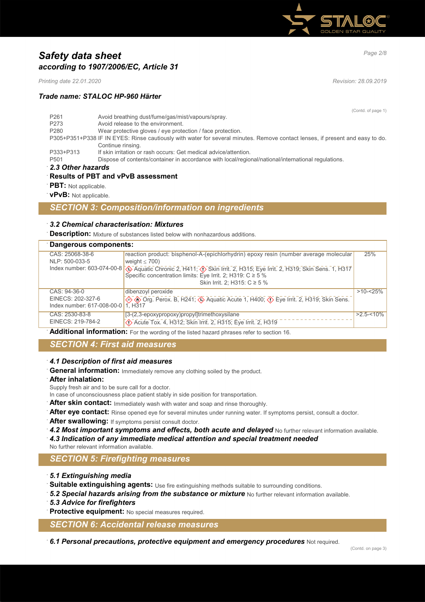

# *Page 2/8 Safety data sheet according to 1907/2006/EC, Article 31*

*Printing date 22.01.2020 Revision: 28.09.2019*

### *Trade name: STALOC HP-960 Härter*

(Contd. of page 1)

| P <sub>261</sub>  | Avoid breathing dust/fume/gas/mist/vapours/spray.                                                                             |  |
|-------------------|-------------------------------------------------------------------------------------------------------------------------------|--|
| P273              | Avoid release to the environment.                                                                                             |  |
| P <sub>280</sub>  | Wear protective gloves / eye protection / face protection.                                                                    |  |
|                   | P305+P351+P338 IF IN EYES: Rinse cautiously with water for several minutes. Remove contact lenses, if present and easy to do. |  |
|                   | Continue rinsing.                                                                                                             |  |
| P333+P313         | If skin irritation or rash occurs: Get medical advice/attention.                                                              |  |
| P <sub>501</sub>  | Dispose of contents/container in accordance with local/regional/national/international regulations.                           |  |
| 2.3 Other hazards |                                                                                                                               |  |

### · **Results of PBT and vPvB assessment**

- **PBT:** Not applicable.
- · **vPvB:** Not applicable.

### *SECTION 3: Composition/information on ingredients*

### · *3.2 Chemical characterisation: Mixtures*

**Description:** Mixture of substances listed below with nonhazardous additions.

### · **Dangerous components:**

| reaction product: bisphenol-A-(epichlorhydrin) epoxy resin (number average molecular<br>CAS: 25068-38-6                                                 | 25%           |
|---------------------------------------------------------------------------------------------------------------------------------------------------------|---------------|
| weight $<$ 700)<br>NLP: 500-033-5                                                                                                                       |               |
| Index number: 603-074-00-8 $\bigotimes$ Aquatic Chronic 2, H411; $\bigotimes$ Skin Irrit. 2, H315; Eye Irrit. 2, H319; Skin Sens. 1, H317 Sens. 1, H317 |               |
|                                                                                                                                                         |               |
| Skin Irrit. 2; H315: C ≥ 5 %                                                                                                                            |               |
| dibenzoyl peroxide<br>CAS: 94-36-0                                                                                                                      | $>10 - 25%$   |
| EINECS: 202-327-6<br>◆ Trg. Perox. B, H241, → Aquatic Acute 1, H400, → Eye Irrit. 2, H319, Skin Sens.                                                   |               |
| Index number: 617-008-00-0 1. H317                                                                                                                      |               |
| [3-(2,3-epoxypropoxy)propyl]trimethoxysilane<br>CAS: 2530-83-8                                                                                          | $>2.5 - 10\%$ |
| Acute Tox. 4, H312; Skin Irrit. 2, H315; Eye Irrit. 2, H319<br>EINECS: 219-784-2                                                                        |               |

· **Additional information:** For the wording of the listed hazard phrases refer to section 16.

### *SECTION 4: First aid measures*

### · *4.1 Description of first aid measures*

General information: Immediately remove any clothing soiled by the product.

· **After inhalation:**

Supply fresh air and to be sure call for a doctor.

- In case of unconsciousness place patient stably in side position for transportation.
- After skin contact: Immediately wash with water and soap and rinse thoroughly.
- After eye contact: Rinse opened eye for several minutes under running water. If symptoms persist, consult a doctor.
- After swallowing: If symptoms persist consult doctor.
- 4.2 Most important symptoms and effects, both acute and delayed No further relevant information available. · *4.3 Indication of any immediate medical attention and special treatment needed*

No further relevant information available.

## *SECTION 5: Firefighting measures*

- · *5.1 Extinguishing media*
- · **Suitable extinguishing agents:** Use fire extinguishing methods suitable to surrounding conditions.
- 5.2 Special hazards arising from the substance or mixture No further relevant information available.
- · *5.3 Advice for firefighters*

**Protective equipment:** No special measures required.

*SECTION 6: Accidental release measures*

· *6.1 Personal precautions, protective equipment and emergency procedures* Not required.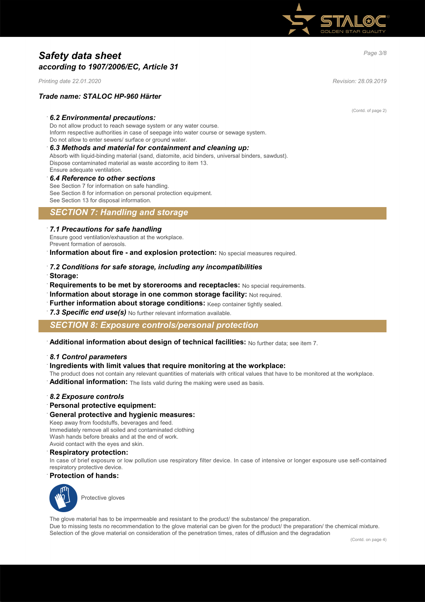

# *Page 3/8 Safety data sheet according to 1907/2006/EC, Article 31*

*Printing date 22.01.2020 Revision: 28.09.2019*

### *Trade name: STALOC HP-960 Härter*

#### · *6.2 Environmental precautions:*

Do not allow product to reach sewage system or any water course. Inform respective authorities in case of seepage into water course or sewage system. Do not allow to enter sewers/ surface or ground water.

#### · *6.3 Methods and material for containment and cleaning up:*

Absorb with liquid-binding material (sand, diatomite, acid binders, universal binders, sawdust). Dispose contaminated material as waste according to item 13. Ensure adequate ventilation.

#### · *6.4 Reference to other sections*

See Section 7 for information on safe handling. See Section 8 for information on personal protection equipment. See Section 13 for disposal information.

### *SECTION 7: Handling and storage*

#### · *7.1 Precautions for safe handling*

Ensure good ventilation/exhaustion at the workplace. Prevent formation of aerosols.

**Information about fire - and explosion protection:** No special measures required.

- · *7.2 Conditions for safe storage, including any incompatibilities*
- · **Storage:**
- · **Requirements to be met by storerooms and receptacles:** No special requirements.
- · **Information about storage in one common storage facility:** Not required.
- **Further information about storage conditions:** Keep container tightly sealed.
- 7.3 Specific end use(s) No further relevant information available.

### *SECTION 8: Exposure controls/personal protection*

· **Additional information about design of technical facilities:** No further data; see item 7.

### · *8.1 Control parameters*

#### · **Ingredients with limit values that require monitoring at the workplace:**

- The product does not contain any relevant quantities of materials with critical values that have to be monitored at the workplace.
- Additional information: The lists valid during the making were used as basis.

#### · *8.2 Exposure controls*

· **Personal protective equipment:**

#### · **General protective and hygienic measures:**

Keep away from foodstuffs, beverages and feed. Immediately remove all soiled and contaminated clothing Wash hands before breaks and at the end of work. Avoid contact with the eyes and skin.

#### · **Respiratory protection:**

In case of brief exposure or low pollution use respiratory filter device. In case of intensive or longer exposure use self-contained respiratory protective device.

#### · **Protection of hands:**



The glove material has to be impermeable and resistant to the product/ the substance/ the preparation. Due to missing tests no recommendation to the glove material can be given for the product/ the preparation/ the chemical mixture. Selection of the glove material on consideration of the penetration times, rates of diffusion and the degradation

(Contd. of page 2)

(Contd. on page 4)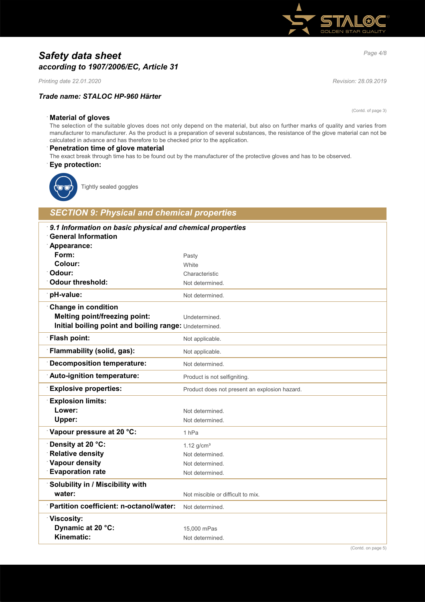# *Page 4/8 Safety data sheet according to 1907/2006/EC, Article 31*

*Printing date 22.01.2020 Revision: 28.09.2019*

### *Trade name: STALOC HP-960 Härter*

(Contd. of page 3)

### · **Material of gloves**

The selection of the suitable gloves does not only depend on the material, but also on further marks of quality and varies from manufacturer to manufacturer. As the product is a preparation of several substances, the resistance of the glove material can not be calculated in advance and has therefore to be checked prior to the application.

#### · **Penetration time of glove material**

The exact break through time has to be found out by the manufacturer of the protective gloves and has to be observed. · **Eye protection:**



Tightly sealed goggles

# *SECTION 9: Physical and chemical properties*

| 9.1 Information on basic physical and chemical properties<br><b>General Information</b> |                                               |
|-----------------------------------------------------------------------------------------|-----------------------------------------------|
| Appearance:                                                                             |                                               |
| Form:                                                                                   | Pasty                                         |
| Colour:                                                                                 | White                                         |
| Odour:                                                                                  | Characteristic                                |
| <b>Odour threshold:</b>                                                                 | Not determined.                               |
| pH-value:                                                                               | Not determined.                               |
| <b>Change in condition</b>                                                              |                                               |
| <b>Melting point/freezing point:</b>                                                    | Undetermined.                                 |
| Initial boiling point and boiling range: Undetermined.                                  |                                               |
| <b>Flash point:</b>                                                                     | Not applicable.                               |
| Flammability (solid, gas):                                                              | Not applicable.                               |
| <b>Decomposition temperature:</b>                                                       | Not determined.                               |
| Auto-ignition temperature:                                                              | Product is not selfigniting.                  |
| <b>Explosive properties:</b>                                                            | Product does not present an explosion hazard. |
| <b>Explosion limits:</b>                                                                |                                               |
| Lower:                                                                                  | Not determined.                               |
| Upper:                                                                                  | Not determined.                               |
| Vapour pressure at 20 °C:                                                               | 1 <sub>hPa</sub>                              |
| Density at 20 °C:                                                                       | $1.12$ g/cm <sup>3</sup>                      |
| <b>Relative density</b>                                                                 | Not determined.                               |
| Vapour density                                                                          | Not determined.                               |
| <b>Evaporation rate</b>                                                                 | Not determined.                               |
| Solubility in / Miscibility with                                                        |                                               |
| water:                                                                                  | Not miscible or difficult to mix.             |
| Partition coefficient: n-octanol/water:                                                 | Not determined.                               |
| <b>Viscosity:</b>                                                                       |                                               |
| Dynamic at 20 °C:                                                                       | 15,000 mPas                                   |
| Kinematic:                                                                              | Not determined.                               |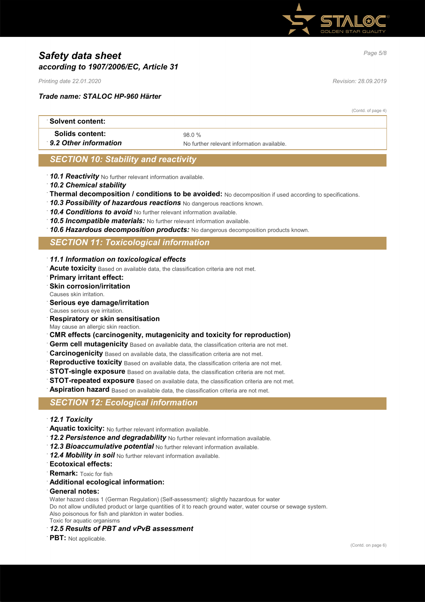

# *Page 5/8 Safety data sheet according to 1907/2006/EC, Article 31*

*Printing date 22.01.2020 Revision: 28.09.2019*

### *Trade name: STALOC HP-960 Härter*

(Contd. of page 4)

| ∶Solvent content:      |                                            |
|------------------------|--------------------------------------------|
| <b>Solids content:</b> | 98 0 %                                     |
| 9.2 Other information  | No further relevant information available. |

### *SECTION 10: Stability and reactivity*

- · *10.1 Reactivity* No further relevant information available.
- · *10.2 Chemical stability*
- · **Thermal decomposition / conditions to be avoided:** No decomposition if used according to specifications.
- · *10.3 Possibility of hazardous reactions* No dangerous reactions known.
- · *10.4 Conditions to avoid* No further relevant information available.
- · *10.5 Incompatible materials:* No further relevant information available.
- · *10.6 Hazardous decomposition products:* No dangerous decomposition products known.

### *SECTION 11: Toxicological information*

- · *11.1 Information on toxicological effects*
- · **Acute toxicity** Based on available data, the classification criteria are not met.
- · **Primary irritant effect:**
- **Skin corrosion/irritation**
- Causes skin irritation.
- · **Serious eye damage/irritation**
- Causes serious eye irritation.
- · **Respiratory or skin sensitisation**
- May cause an allergic skin reaction.
- · **CMR effects (carcinogenity, mutagenicity and toxicity for reproduction)**
- **Germ cell mutagenicity** Based on available data, the classification criteria are not met.
- **Carcinogenicity** Based on available data, the classification criteria are not met.
- **Reproductive toxicity** Based on available data, the classification criteria are not met.
- **STOT-single exposure** Based on available data, the classification criteria are not met.
- **STOT-repeated exposure** Based on available data, the classification criteria are not met.
- **Aspiration hazard** Based on available data, the classification criteria are not met.

### *SECTION 12: Ecological information*

- · *12.1 Toxicity*
- · **Aquatic toxicity:** No further relevant information available.
- · *12.2 Persistence and degradability* No further relevant information available.
- · *12.3 Bioaccumulative potential* No further relevant information available.
- · *12.4 Mobility in soil* No further relevant information available.
- · **Ecotoxical effects:**
- **Remark:** Toxic for fish
- · **Additional ecological information:**
- · **General notes:**
- Water hazard class 1 (German Regulation) (Self-assessment): slightly hazardous for water

Do not allow undiluted product or large quantities of it to reach ground water, water course or sewage system. Also poisonous for fish and plankton in water bodies.

Toxic for aquatic organisms

- · *12.5 Results of PBT and vPvB assessment*
- **PBT:** Not applicable.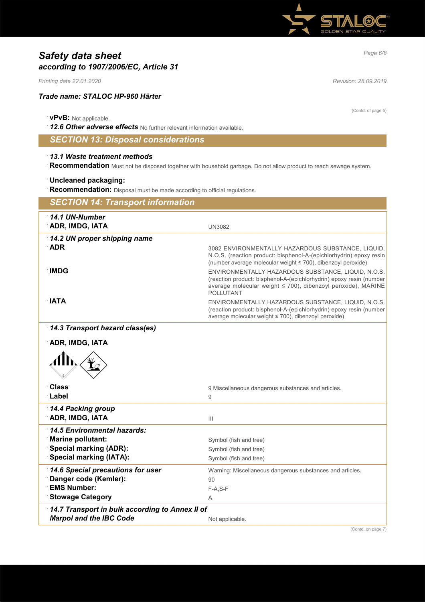

# *Page 6/8 Safety data sheet according to 1907/2006/EC, Article 31*

*Printing date 22.01.2020 Revision: 28.09.2019*

### *Trade name: STALOC HP-960 Härter*

### · **vPvB:** Not applicable.

· *12.6 Other adverse effects* No further relevant information available.

# *SECTION 13: Disposal considerations*

### · *13.1 Waste treatment methods*

· **Recommendation** Must not be disposed together with household garbage. Do not allow product to reach sewage system.

### · **Uncleaned packaging:**

**Recommendation:** Disposal must be made according to official regulations.

| <b>SECTION 14: Transport information</b>                |                                                                                                                                     |
|---------------------------------------------------------|-------------------------------------------------------------------------------------------------------------------------------------|
| $\cdot$ 14.1 UN-Number                                  |                                                                                                                                     |
| <b>ADR, IMDG, IATA</b>                                  | <b>UN3082</b>                                                                                                                       |
| 14.2 UN proper shipping name                            |                                                                                                                                     |
| <b>ADR</b>                                              | 3082 ENVIRONMENTALLY HAZARDOUS SUBSTANCE, LIQUID,                                                                                   |
|                                                         | N.O.S. (reaction product: bisphenol-A-(epichlorhydrin) epoxy resin<br>(number average molecular weight ≤ 700), dibenzoyl peroxide)  |
| ∶IMDG                                                   | ENVIRONMENTALLY HAZARDOUS SUBSTANCE, LIQUID, N.O.S.                                                                                 |
|                                                         | (reaction product: bisphenol-A-(epichlorhydrin) epoxy resin (number<br>average molecular weight ≤ 700), dibenzoyl peroxide), MARINE |
|                                                         | <b>POLLUTANT</b>                                                                                                                    |
| <b>NTA</b>                                              | ENVIRONMENTALLY HAZARDOUS SUBSTANCE, LIQUID, N.O.S.                                                                                 |
|                                                         | (reaction product: bisphenol-A-(epichlorhydrin) epoxy resin (number<br>average molecular weight ≤ 700), dibenzoyl peroxide)         |
| 14.3 Transport hazard class(es)                         |                                                                                                                                     |
|                                                         |                                                                                                                                     |
| ADR, IMDG, IATA                                         |                                                                                                                                     |
|                                                         |                                                                                                                                     |
|                                                         |                                                                                                                                     |
|                                                         |                                                                                                                                     |
| <b>Class</b><br>∴Label                                  | 9 Miscellaneous dangerous substances and articles.<br>9                                                                             |
|                                                         |                                                                                                                                     |
| 14.4 Packing group<br><b>ADR, IMDG, IATA</b>            | $\mathbf{III}$                                                                                                                      |
|                                                         |                                                                                                                                     |
| 14.5 Environmental hazards:<br><b>Marine pollutant:</b> | Symbol (fish and tree)                                                                                                              |
| <b>Special marking (ADR):</b>                           | Symbol (fish and tree)                                                                                                              |
| <b>Special marking (IATA):</b>                          | Symbol (fish and tree)                                                                                                              |
| 14.6 Special precautions for user                       | Warning: Miscellaneous dangerous substances and articles.                                                                           |
| Danger code (Kemler):                                   | 90                                                                                                                                  |
| <b>EMS Number:</b>                                      | $F-A, S-F$                                                                                                                          |
| <b>Stowage Category</b>                                 | Α                                                                                                                                   |
| 14.7 Transport in bulk according to Annex II of         |                                                                                                                                     |
| <b>Marpol and the IBC Code</b>                          | Not applicable.<br>$10$ and $\mu$ and $\mu$ and $\mu$                                                                               |

(Contd. of page 5)

(Contd. on page 7)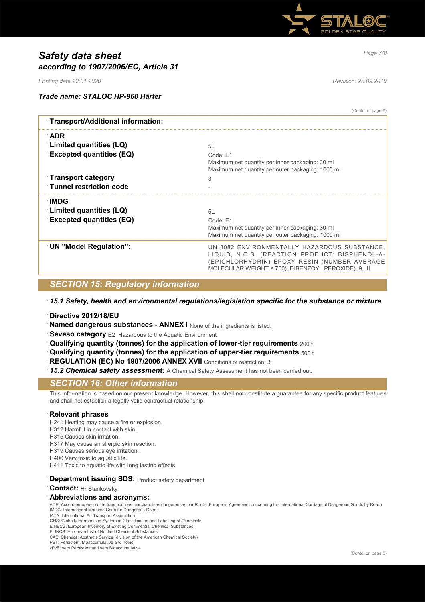

# *Page 7/8 Safety data sheet according to 1907/2006/EC, Article 31*

*Printing date 22.01.2020 Revision: 28.09.2019*

(Contd. of page 6)

### *Trade name: STALOC HP-960 Härter*

| Transport/Additional information:                           |                                                                                                                                                                                                        |
|-------------------------------------------------------------|--------------------------------------------------------------------------------------------------------------------------------------------------------------------------------------------------------|
| ∴ADR                                                        |                                                                                                                                                                                                        |
| Limited quantities (LQ)                                     | 5L                                                                                                                                                                                                     |
| <b>Excepted quantities (EQ)</b>                             | Code: E1<br>Maximum net quantity per inner packaging: 30 ml<br>Maximum net quantity per outer packaging: 1000 ml                                                                                       |
| <b>Transport category</b><br><b>Tunnel restriction code</b> | 3                                                                                                                                                                                                      |
| <b>IMDG</b><br>Limited quantities (LQ)                      | 5L                                                                                                                                                                                                     |
| <b>Excepted quantities (EQ)</b>                             | Code: E1<br>Maximum net quantity per inner packaging: 30 ml<br>Maximum net quantity per outer packaging: 1000 ml                                                                                       |
| <b>UN "Model Regulation":</b>                               | UN 3082 ENVIRONMENTALLY HAZARDOUS SUBSTANCE,<br>LIQUID, N.O.S. (REACTION PRODUCT: BISPHENOL-A-<br>(EPICHLORHYDRIN) EPOXY RESIN (NUMBER AVERAGE<br>MOLECULAR WEIGHT ≤ 700), DIBENZOYL PEROXIDE), 9, III |
|                                                             |                                                                                                                                                                                                        |

### *SECTION 15: Regulatory information*

· *15.1 Safety, health and environmental regulations/legislation specific for the substance or mixture*

· **Directive 2012/18/EU**

**Named dangerous substances - ANNEX I** None of the ingredients is listed.

**Seveso category** E2 Hazardous to the Aquatic Environment

- · **Qualifying quantity (tonnes) for the application of lower-tier requirements** 200 t
- · **Qualifying quantity (tonnes) for the application of upper-tier requirements** 500 t
- **REGULATION (EC) No 1907/2006 ANNEX XVII** Conditions of restriction: 3

· *15.2 Chemical safety assessment:* A Chemical Safety Assessment has not been carried out.

### *SECTION 16: Other information*

This information is based on our present knowledge. However, this shall not constitute a guarantee for any specific product features and shall not establish a legally valid contractual relationship.

#### · **Relevant phrases**

H241 Heating may cause a fire or explosion.

- H312 Harmful in contact with skin.
- H315 Causes skin irritation.

H317 May cause an allergic skin reaction.

H319 Causes serious eye irritation.

H400 Very toxic to aquatic life.

H411 Toxic to aquatic life with long lasting effects.

### **Department issuing SDS: Product safety department**

**Contact:** Hr Stankovsky

#### · **Abbreviations and acronyms:**

ADR: Accord européen sur le transport des marchandises dangereuses par Route (European Agreement concerning the International Carriage of Dangerous Goods by Road) IMDG: International Maritime Code for Dangerous Goods

IATA: International Air Transport Association

GHS: Globally Harmonised System of Classification and Labelling of Chemicals

EINECS: European Inventory of Existing Commercial Chemical Substances ELINCS: European List of Notified Chemical Substances

CAS: Chemical Abstracts Service (division of the American Chemical Society)

PBT: Persistent, Bioaccumulative and Toxic

vPvB: very Persistent and very Bioaccumulative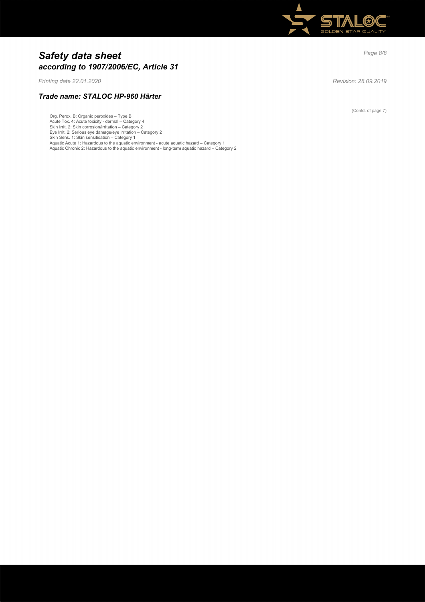

# *Page 8/8 Safety data sheet according to 1907/2006/EC, Article 31*

*Printing date 22.01.2020 Revision: 28.09.2019*

*Trade name: STALOC HP-960 Härter*

Org. Perox. B: Organic peroxides – Type B Acute Tox. 4: Acute toxicity - dermal – Category 4<br>Skin Irrit. 2: Skin corrosion/irritation – Category 2<br>Eye Irrit. 2: Serious eye damage/eye irritation – Category 2<br>Skin Sens. 1: Skin sensitisation – Category 1<br>Aquatic Ac

(Contd. of page 7)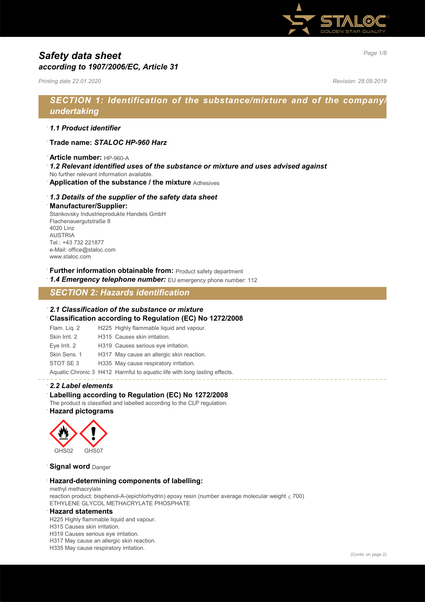

# *Page 1/8 Safety data sheet according to 1907/2006/EC, Article 31*

*Printing date 22.01.2020 Revision: 28.09.2019*

# *SECTION 1: Identification of the substance/mixture and of the company/ undertaking*

### · *1.1 Product identifier*

- · **Trade name:** *STALOC HP-960 Harz*
- · **Article number:** HP-960-A
- · *1.2 Relevant identified uses of the substance or mixture and uses advised against*
- No further relevant information available.
- · **Application of the substance / the mixture** Adhesives

### · *1.3 Details of the supplier of the safety data sheet*

#### · **Manufacturer/Supplier:**

Stankovsky Industrieprodukte Handels GmbH Flachenauergutstraße 8 4020 Linz AUSTRIA Tel.: +43 732 221877 e-Mail: office@staloc.com www.staloc.com

- **Further information obtainable from:** Product safety department
- 1.4 **Emergency telephone number:** EU emergency phone number: 112

# *SECTION 2: Hazards identification*

### · *2.1 Classification of the substance or mixture*

- · **Classification according to Regulation (EC) No 1272/2008**
- Flam. Liq. 2 H225 Highly flammable liquid and vapour. Skin Irrit. 2 H315 Causes skin irritation. Eye Irrit. 2 H319 Causes serious eye irritation. Skin Sens. 1 H317 May cause an allergic skin reaction.
- STOT SE 3 H335 May cause respiratory irritation.
- Aquatic Chronic 3 H412 Harmful to aquatic life with long lasting effects.

### · *2.2 Label elements*

### · **Labelling according to Regulation (EC) No 1272/2008**

The product is classified and labelled according to the CLP regulation.

### · **Hazard pictograms**



### **Signal word** Danger

#### · **Hazard-determining components of labelling:**

methyl methacrylate reaction product: bisphenol-A-(epichlorhydrin) epoxy resin (number average molecular weight ≤ 700) ETHYLENE GLYCOL METHACRYLATE PHOSPHATE

#### · **Hazard statements**

H225 Highly flammable liquid and vapour.

- H315 Causes skin irritation.
- H319 Causes serious eye irritation.

H317 May cause an allergic skin reaction.

H335 May cause respiratory irritation.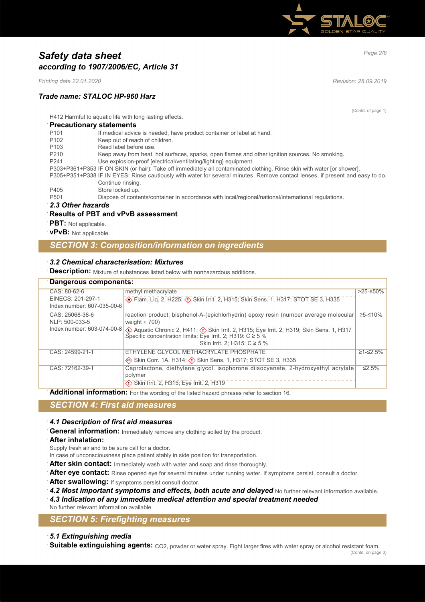

# *Page 2/8 Safety data sheet according to 1907/2006/EC, Article 31*

*Printing date 22.01.2020 Revision: 28.09.2019*

### *Trade name: STALOC HP-960 Harz*

(Contd. of page 1)

H412 Harmful to aquatic life with long lasting effects.

### · **Precautionary statements**

| P <sub>101</sub> | If medical advice is needed, have product container or label at hand.                                                         |
|------------------|-------------------------------------------------------------------------------------------------------------------------------|
| P <sub>102</sub> | Keep out of reach of children.                                                                                                |
| P <sub>103</sub> | Read label before use.                                                                                                        |
| P210             | Keep away from heat, hot surfaces, sparks, open flames and other ignition sources. No smoking.                                |
| P <sub>241</sub> | Use explosion-proof [electrical/ventilating/lighting] equipment.                                                              |
|                  | P303+P361+P353 IF ON SKIN (or hair): Take off immediately all contaminated clothing. Rinse skin with water [or shower].       |
|                  | P305+P351+P338 IF IN EYES: Rinse cautiously with water for several minutes. Remove contact lenses, if present and easy to do. |
|                  | Continue rinsing.                                                                                                             |
| P405             | Store locked up.                                                                                                              |
| P <sub>501</sub> | Dispose of contents/container in accordance with local/regional/national/international regulations.                           |

### · *2.3 Other hazards*

### · **Results of PBT and vPvB assessment**

- **PBT:** Not applicable.
- · **vPvB:** Not applicable.

### *SECTION 3: Composition/information on ingredients*

### · *3.2 Chemical characterisation: Mixtures*

**Description:** Mixture of substances listed below with nonhazardous additions.

| Dangerous components:                                           |                                                                                                                                                                                                                                                                                                                                   |                      |
|-----------------------------------------------------------------|-----------------------------------------------------------------------------------------------------------------------------------------------------------------------------------------------------------------------------------------------------------------------------------------------------------------------------------|----------------------|
| CAS: 80-62-6<br>EINECS: 201-297-1<br>Index number: 607-035-00-6 | methyl methacrylate<br>Skin Sens. 1, H317; STOT SE 3, H335                                                                                                                                                                                                                                                                        | $>25-50\%$           |
| CAS: 25068-38-6<br>NLP: 500-033-5                               | reaction product: bisphenol-A-(epichlorhydrin) epoxy resin (number average molecular)<br>weight $<$ 700)<br>Index number: 603-074-00-8 4 Aquatic Chronic 2, H411; 4 Skin Irrit. 2, H315; Eye Irrit. 2, H319; Skin Sens. 1, H317<br>Specific concentration limits: Eye Irrit. 2; H319: $C \ge 5\%$<br>Skin Irrit. 2: H315: C ≥ 5 % | $\geq 5 - \leq 10\%$ |
| CAS: 24599-21-1                                                 | ETHYLENE GLYCOL METHACRYLATE PHOSPHATE<br>Skin Corr. 1A, H314; (1) Skin Sens. 1, H317; STOT SE 3, H335                                                                                                                                                                                                                            | $≥1 - ≤2.5%$         |
| CAS: 72162-39-1                                                 | Caprolactone, diethylene glycol, isophorone diisocyanate, 2-hydroxyethyl acrylate<br>polymer<br>Skin Irrit. 2, H315; Eye Irrit. 2, H319                                                                                                                                                                                           | ≤2.5%                |

Additional information: For the wording of the listed hazard phrases refer to section 16.

# *SECTION 4: First aid measures*

#### · *4.1 Description of first aid measures*

General information: Immediately remove any clothing soiled by the product.

· **After inhalation:**

Supply fresh air and to be sure call for a doctor.

In case of unconsciousness place patient stably in side position for transportation.

- After skin contact: Immediately wash with water and soap and rinse thoroughly.
- After eye contact: Rinse opened eye for several minutes under running water. If symptoms persist, consult a doctor.
- After swallowing: If symptoms persist consult doctor.
- 4.2 Most important symptoms and effects, both acute and delayed No further relevant information available.

· *4.3 Indication of any immediate medical attention and special treatment needed*

No further relevant information available.

### *SECTION 5: Firefighting measures*

### · *5.1 Extinguishing media*

**Suitable extinguishing agents:** CO2, powder or water spray. Fight larger fires with water spray or alcohol resistant foam.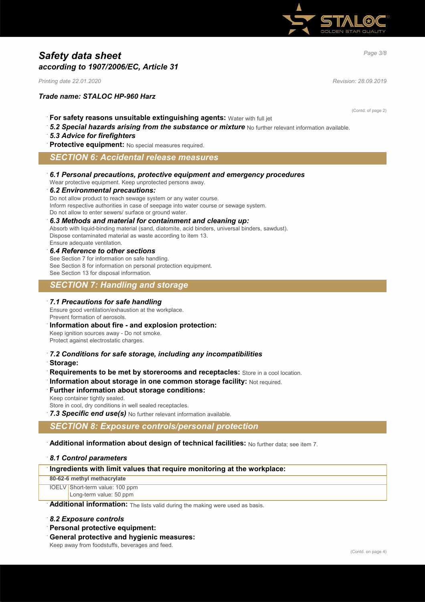

# *Page 3/8 Safety data sheet according to 1907/2006/EC, Article 31*

*Printing date 22.01.2020 Revision: 28.09.2019*

### *Trade name: STALOC HP-960 Harz*

(Contd. of page 2)

- · **For safety reasons unsuitable extinguishing agents:** Water with full jet
- 5.2 Special hazards arising from the substance or mixture No further relevant information available.

### · *5.3 Advice for firefighters*

**Protective equipment:** No special measures required.

### *SECTION 6: Accidental release measures*

· *6.1 Personal precautions, protective equipment and emergency procedures*

Wear protective equipment. Keep unprotected persons away.

#### · *6.2 Environmental precautions:*

Do not allow product to reach sewage system or any water course. Inform respective authorities in case of seepage into water course or sewage system. Do not allow to enter sewers/ surface or ground water.

#### · *6.3 Methods and material for containment and cleaning up:*

Absorb with liquid-binding material (sand, diatomite, acid binders, universal binders, sawdust). Dispose contaminated material as waste according to item 13. Ensure adequate ventilation.

#### · *6.4 Reference to other sections*

See Section 7 for information on safe handling. See Section 8 for information on personal protection equipment. See Section 13 for disposal information.

### *SECTION 7: Handling and storage*

#### · *7.1 Precautions for safe handling*

Ensure good ventilation/exhaustion at the workplace. Prevent formation of aerosols.

### · **Information about fire - and explosion protection:**

Keep ignition sources away - Do not smoke. Protect against electrostatic charges.

- · *7.2 Conditions for safe storage, including any incompatibilities*
- · **Storage:**
- **Requirements to be met by storerooms and receptacles:** Store in a cool location.
- **Information about storage in one common storage facility: Not required.**

## **Further information about storage conditions:**

Keep container tightly sealed.

Store in cool, dry conditions in well sealed receptacles.

7.3 Specific end use(s) No further relevant information available.

### *SECTION 8: Exposure controls/personal protection*

· **Additional information about design of technical facilities:** No further data; see item 7.

#### · *8.1 Control parameters*

#### · **Ingredients with limit values that require monitoring at the workplace:**

#### **80-62-6 methyl methacrylate**

IOELV Short-term value: 100 ppm Long-term value: 50 ppm

Additional information: The lists valid during the making were used as basis.

#### · *8.2 Exposure controls*

- · **Personal protective equipment:**
- · **General protective and hygienic measures:**

Keep away from foodstuffs, beverages and feed.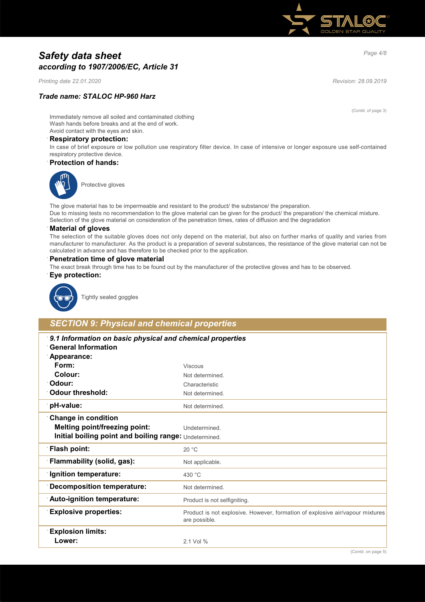

# *Page 4/8 Safety data sheet according to 1907/2006/EC, Article 31*

*Printing date 22.01.2020 Revision: 28.09.2019*

### *Trade name: STALOC HP-960 Harz*

(Contd. of page 3)

Immediately remove all soiled and contaminated clothing Wash hands before breaks and at the end of work. Avoid contact with the eyes and skin.

#### · **Respiratory protection:**

In case of brief exposure or low pollution use respiratory filter device. In case of intensive or longer exposure use self-contained respiratory protective device.

#### · **Protection of hands:**



Protective gloves

The glove material has to be impermeable and resistant to the product/ the substance/ the preparation. Due to missing tests no recommendation to the glove material can be given for the product/ the preparation/ the chemical mixture. Selection of the glove material on consideration of the penetration times, rates of diffusion and the degradation

#### · **Material of gloves**

The selection of the suitable gloves does not only depend on the material, but also on further marks of quality and varies from manufacturer to manufacturer. As the product is a preparation of several substances, the resistance of the glove material can not be calculated in advance and has therefore to be checked prior to the application.

#### · **Penetration time of glove material**

The exact break through time has to be found out by the manufacturer of the protective gloves and has to be observed.

#### · **Eye protection:**



Tightly sealed goggles

### *SECTION 9: Physical and chemical properties*

| 9.1 Information on basic physical and chemical properties<br><b>General Information</b> |                                                                                                |
|-----------------------------------------------------------------------------------------|------------------------------------------------------------------------------------------------|
| Appearance:                                                                             |                                                                                                |
| Form:                                                                                   | <b>Viscous</b>                                                                                 |
| Colour:                                                                                 | Not determined.                                                                                |
| <sup>.</sup> Odour:                                                                     | Characteristic                                                                                 |
| <b>Odour threshold:</b>                                                                 | Not determined.                                                                                |
| pH-value:                                                                               | Not determined.                                                                                |
| <b>Change in condition</b>                                                              |                                                                                                |
| <b>Melting point/freezing point:</b>                                                    | Undetermined.                                                                                  |
| Initial boiling point and boiling range: Undetermined.                                  |                                                                                                |
| <b>Flash point:</b>                                                                     | 20 °C                                                                                          |
| <b>Flammability (solid, gas):</b>                                                       | Not applicable.                                                                                |
| <b>Ignition temperature:</b>                                                            | 430 °C                                                                                         |
| <b>Decomposition temperature:</b>                                                       | Not determined.                                                                                |
| Auto-ignition temperature:                                                              | Product is not selfigniting.                                                                   |
| <b>Explosive properties:</b>                                                            | Product is not explosive. However, formation of explosive air/vapour mixtures<br>are possible. |
| <b>Explosion limits:</b>                                                                |                                                                                                |
| Lower:                                                                                  | 2.1 Vol %                                                                                      |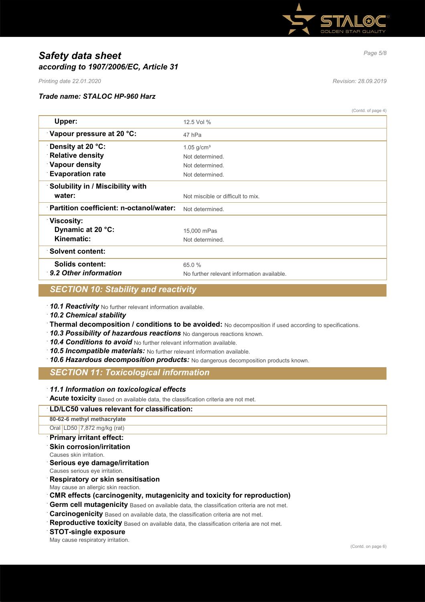

# *Page 5/8 Safety data sheet according to 1907/2006/EC, Article 31*

*Printing date 22.01.2020 Revision: 28.09.2019*

### *Trade name: STALOC HP-960 Harz*

(Contd. of page 4)

| $($ Contuction page 4)                                     |
|------------------------------------------------------------|
| 12.5 Vol %                                                 |
| 47 hPa                                                     |
| $1.05$ g/cm <sup>3</sup>                                   |
| Not determined.                                            |
| Not determined.                                            |
| Not determined.                                            |
|                                                            |
| Not miscible or difficult to mix.                          |
| Partition coefficient: n-octanol/water:<br>Not determined. |
|                                                            |
| 15,000 mPas                                                |
| Not determined.                                            |
|                                                            |
| 65.0%                                                      |
| No further relevant information available.                 |
|                                                            |

### *SECTION 10: Stability and reactivity*

· *10.1 Reactivity* No further relevant information available.

· *10.2 Chemical stability*

- · **Thermal decomposition / conditions to be avoided:** No decomposition if used according to specifications.
- · *10.3 Possibility of hazardous reactions* No dangerous reactions known.
- · *10.4 Conditions to avoid* No further relevant information available.
- · *10.5 Incompatible materials:* No further relevant information available.
- 10.6 Hazardous decomposition products: No dangerous decomposition products known.

## *SECTION 11: Toxicological information*

· *11.1 Information on toxicological effects*

· **Acute toxicity** Based on available data, the classification criteria are not met.

#### · **LD/LC50 values relevant for classification:**

**80-62-6 methyl methacrylate** Oral LD50 7,872 mg/kg (rat)

- · **Primary irritant effect:**
- · **Skin corrosion/irritation**
- Causes skin irritation.
- · **Serious eye damage/irritation**

Causes serious eye irritation.

- · **Respiratory or skin sensitisation**
- May cause an allergic skin reaction.
- · **CMR effects (carcinogenity, mutagenicity and toxicity for reproduction)**
- **Germ cell mutagenicity** Based on available data, the classification criteria are not met.

**Carcinogenicity** Based on available data, the classification criteria are not met.

- **Reproductive toxicity** Based on available data, the classification criteria are not met.
- · **STOT-single exposure**

May cause respiratory irritation.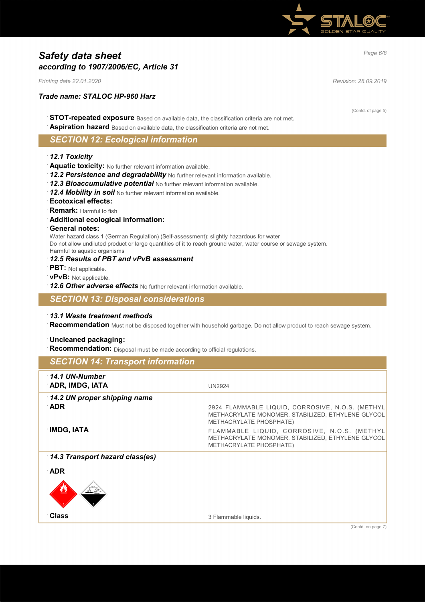

# *Page 6/8 Safety data sheet according to 1907/2006/EC, Article 31*

*Printing date 22.01.2020 Revision: 28.09.2019*

### *Trade name: STALOC HP-960 Harz*

(Contd. of page 5)

- · **STOT-repeated exposure** Based on available data, the classification criteria are not met.
- Aspiration hazard Based on available data, the classification criteria are not met.

# *SECTION 12: Ecological information*

### · *12.1 Toxicity*

- · **Aquatic toxicity:** No further relevant information available.
- · *12.2 Persistence and degradability* No further relevant information available.
- · *12.3 Bioaccumulative potential* No further relevant information available.
- · *12.4 Mobility in soil* No further relevant information available.
- · **Ecotoxical effects:**
- · **Remark:** Harmful to fish
- · **Additional ecological information:**

#### · **General notes:**

Water hazard class 1 (German Regulation) (Self-assessment): slightly hazardous for water

Do not allow undiluted product or large quantities of it to reach ground water, water course or sewage system. Harmful to aquatic organisms

### · *12.5 Results of PBT and vPvB assessment*

- · **PBT:** Not applicable.
- · **vPvB:** Not applicable.
- · *12.6 Other adverse effects* No further relevant information available.

### *SECTION 13: Disposal considerations*

#### · *13.1 Waste treatment methods*

· **Recommendation** Must not be disposed together with household garbage. Do not allow product to reach sewage system.

### · **Uncleaned packaging:**

**Recommendation:** Disposal must be made according to official regulations.

# *SECTION 14: Transport information* · *14.1 UN-Number* **ADR, IMDG, IATA** UN2924 · *14.2 UN proper shipping name* · **ADR** 2924 FLAMMABLE LIQUID, CORROSIVE, N.O.S. (METHYL METHACRYLATE MONOMER, STABILIZED, ETHYLENE GLYCOL METHACRYLATE PHOSPHATE) **IMDG, IATA Example 20** FLAMMABLE LIQUID, CORROSIVE, N.O.S. (METHYL METHACRYLATE MONOMER, STABILIZED, ETHYLENE GLYCOL METHACRYLATE PHOSPHATE) · *14.3 Transport hazard class(es)* · **ADR**  $\bigotimes$  density  $\bigotimes$ **a Class** 3 Flammable liquids.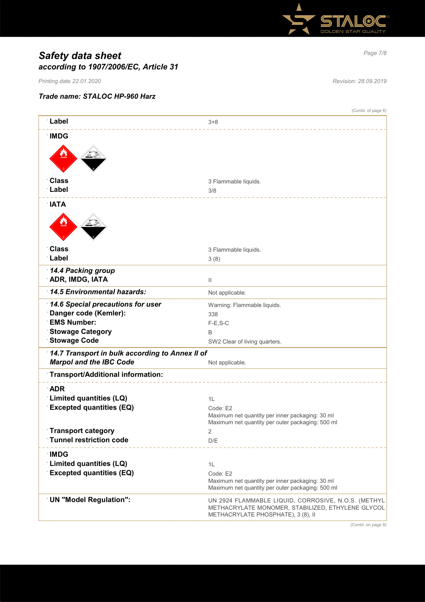

# *Page 7/8 Safety data sheet according to 1907/2006/EC, Article 31*

*Printing date 22.01.2020 Revision: 28.09.2019*

### *Trade name: STALOC HP-960 Harz*

|                                                 | (Contd. of page 6)                                                                                                                             |
|-------------------------------------------------|------------------------------------------------------------------------------------------------------------------------------------------------|
| ∶Label                                          | $3 + 8$                                                                                                                                        |
| <b>IMDG</b>                                     |                                                                                                                                                |
|                                                 |                                                                                                                                                |
|                                                 |                                                                                                                                                |
|                                                 |                                                                                                                                                |
| <b>Class</b><br>∵Label                          | 3 Flammable liquids.                                                                                                                           |
|                                                 | 3/8                                                                                                                                            |
| <b>NATA</b>                                     |                                                                                                                                                |
|                                                 |                                                                                                                                                |
|                                                 |                                                                                                                                                |
| <b>Class</b>                                    | 3 Flammable liquids.                                                                                                                           |
| Label                                           | 3(8)                                                                                                                                           |
| 14.4 Packing group                              |                                                                                                                                                |
| <b>ADR, IMDG, IATA</b>                          | $\mathbf{H}$                                                                                                                                   |
| 14.5 Environmental hazards:                     | Not applicable.                                                                                                                                |
| 14.6 Special precautions for user               | Warning: Flammable liquids.                                                                                                                    |
| Danger code (Kemler):                           | 338                                                                                                                                            |
| <b>EMS Number:</b>                              | $F-E$ , S-C                                                                                                                                    |
| <b>Stowage Category</b><br><b>Stowage Code</b>  | B                                                                                                                                              |
|                                                 | SW2 Clear of living quarters.                                                                                                                  |
| 14.7 Transport in bulk according to Annex II of |                                                                                                                                                |
| <b>Marpol and the IBC Code</b>                  | Not applicable.                                                                                                                                |
| Transport/Additional information:               |                                                                                                                                                |
| <b>ADR</b>                                      |                                                                                                                                                |
| Limited quantities (LQ)                         | 1L                                                                                                                                             |
| <b>Excepted quantities (EQ)</b>                 | Code: E2                                                                                                                                       |
|                                                 | Maximum net quantity per inner packaging: 30 ml<br>Maximum net quantity per outer packaging: 500 ml                                            |
| <b>Transport category</b>                       |                                                                                                                                                |
| <b>Tunnel restriction code</b>                  | D/E                                                                                                                                            |
| <b>IMDG</b>                                     |                                                                                                                                                |
| Limited quantities (LQ)                         | 1L                                                                                                                                             |
| <b>Excepted quantities (EQ)</b>                 | Code: E2                                                                                                                                       |
|                                                 | Maximum net quantity per inner packaging: 30 ml                                                                                                |
|                                                 | Maximum net quantity per outer packaging: 500 ml                                                                                               |
| <b>UN "Model Regulation":</b>                   | UN 2924 FLAMMABLE LIQUID, CORROSIVE, N.O.S. (METHYL<br>METHACRYLATE MONOMER, STABILIZED, ETHYLENE GLYCOL<br>METHACRYLATE PHOSPHATE), 3 (8), II |